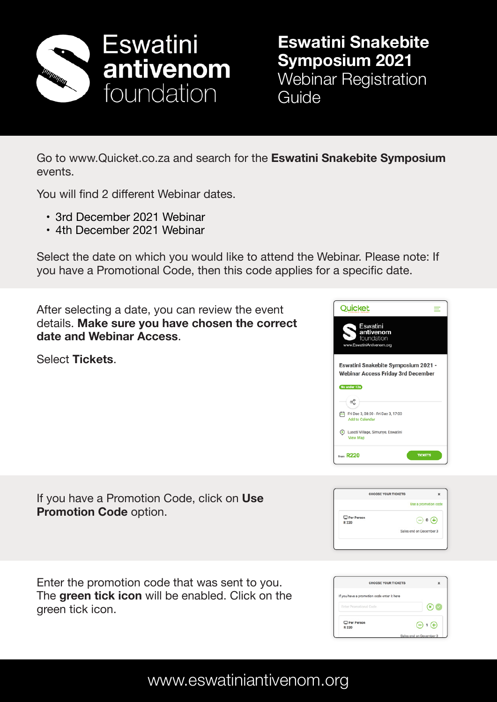

**Eswatini Snakebite Symposium 2021** Webinar Registration Guide

Go to www.Quicket.co.za and search for the **Eswatini Snakebite Symposium** events.

You will find 2 different Webinar dates.

- 3rd December 2021 Webinar
- 4th December 2021 Webinar

Select the date on which you would like to attend the Webinar. Please note: If you have a Promotional Code, then this code applies for a specific date.

After selecting a date, you can review the event details. **Make sure you have chosen the correct date and Webinar Access**.

Select **Tickets**.



|                     | <b>CHOOSE YOUR TICKETS</b> | ×                                                                          |
|---------------------|----------------------------|----------------------------------------------------------------------------|
|                     |                            | Use a promotion code                                                       |
| Per Person<br>R 220 |                            | $\bigodot$ 0<br>$\left( \begin{smallmatrix} + \ \end{smallmatrix} \right)$ |
|                     |                            | Sales end on December 3                                                    |

CHOOSE YOUR TICKETS If you have a promotion code enter it here  $\odot$ Per Person  $\bigodot$  1 $\bigoplus$ 

If you have a Promotion Code, click on **Use Promotion Code** option.

Enter the promotion code that was sent to you. The **green tick icon** will be enabled. Click on the green tick icon.

www.eswatiniantivenom.org